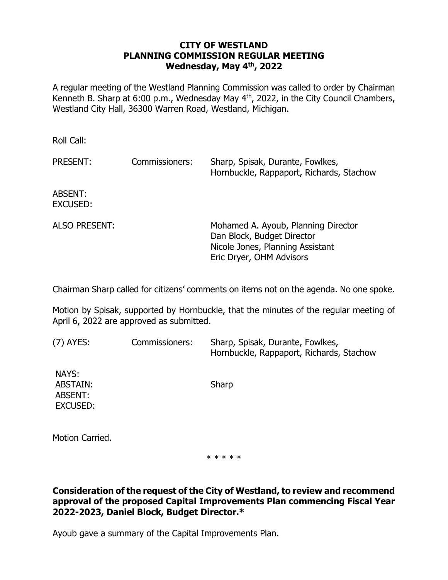#### **CITY OF WESTLAND PLANNING COMMISSION REGULAR MEETING Wednesday, May 4th , 2022**

A regular meeting of the Westland Planning Commission was called to order by Chairman Kenneth B. Sharp at  $6:00$  p.m., Wednesday May  $4<sup>th</sup>$ , 2022, in the City Council Chambers, Westland City Hall, 36300 Warren Road, Westland, Michigan.

Roll Call:

| PRESENT:                   | Commissioners: | Sharp, Spisak, Durante, Fowlkes,<br>Hornbuckle, Rappaport, Richards, Stachow                                                      |
|----------------------------|----------------|-----------------------------------------------------------------------------------------------------------------------------------|
| ABSENT:<br><b>EXCUSED:</b> |                |                                                                                                                                   |
| <b>ALSO PRESENT:</b>       |                | Mohamed A. Ayoub, Planning Director<br>Dan Block, Budget Director<br>Nicole Jones, Planning Assistant<br>Eric Dryer, OHM Advisors |

Chairman Sharp called for citizens' comments on items not on the agenda. No one spoke.

Motion by Spisak, supported by Hornbuckle, that the minutes of the regular meeting of April 6, 2022 are approved as submitted.

| $(7)$ AYES:                                            | Commissioners: | Sharp, Spisak, Durante, Fowlkes,<br>Hornbuckle, Rappaport, Richards, Stachow |
|--------------------------------------------------------|----------------|------------------------------------------------------------------------------|
| NAYS:<br><b>ABSTAIN:</b><br>ABSENT:<br><b>EXCUSED:</b> |                | Sharp                                                                        |
| Motion Carried.                                        |                |                                                                              |

\* \* \* \* \*

**Consideration of the request of the City of Westland, to review and recommend approval of the proposed Capital Improvements Plan commencing Fiscal Year 2022-2023, Daniel Block, Budget Director.\***

Ayoub gave a summary of the Capital Improvements Plan.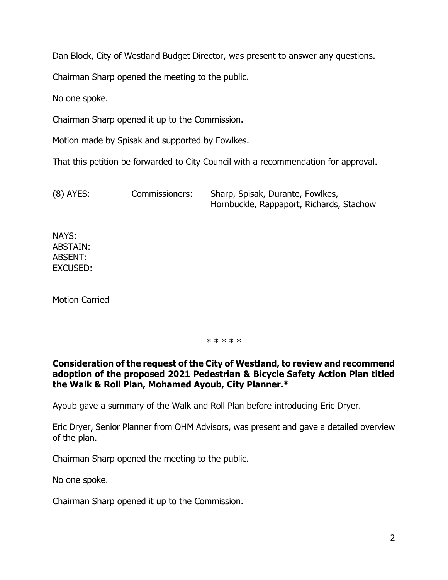Dan Block, City of Westland Budget Director, was present to answer any questions.

Chairman Sharp opened the meeting to the public.

No one spoke.

Chairman Sharp opened it up to the Commission.

Motion made by Spisak and supported by Fowlkes.

That this petition be forwarded to City Council with a recommendation for approval.

(8) AYES: Commissioners: Sharp, Spisak, Durante, Fowlkes, Hornbuckle, Rappaport, Richards, Stachow

NAYS: ABSTAIN: ABSENT: EXCUSED:

Motion Carried

#### \* \* \* \* \*

#### **Consideration of the request of the City of Westland, to review and recommend adoption of the proposed 2021 Pedestrian & Bicycle Safety Action Plan titled the Walk & Roll Plan, Mohamed Ayoub, City Planner.\***

Ayoub gave a summary of the Walk and Roll Plan before introducing Eric Dryer.

Eric Dryer, Senior Planner from OHM Advisors, was present and gave a detailed overview of the plan.

Chairman Sharp opened the meeting to the public.

No one spoke.

Chairman Sharp opened it up to the Commission.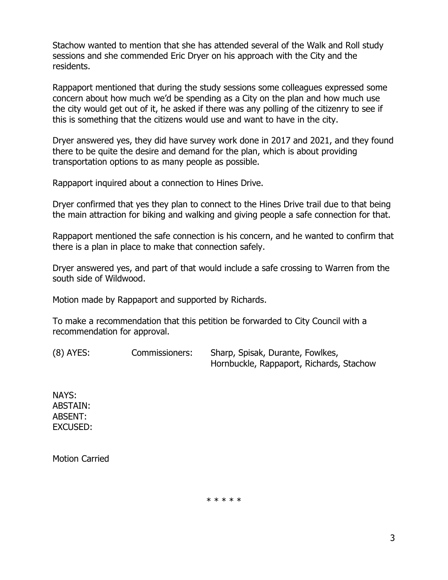Stachow wanted to mention that she has attended several of the Walk and Roll study sessions and she commended Eric Dryer on his approach with the City and the residents.

Rappaport mentioned that during the study sessions some colleagues expressed some concern about how much we'd be spending as a City on the plan and how much use the city would get out of it, he asked if there was any polling of the citizenry to see if this is something that the citizens would use and want to have in the city.

Dryer answered yes, they did have survey work done in 2017 and 2021, and they found there to be quite the desire and demand for the plan, which is about providing transportation options to as many people as possible.

Rappaport inquired about a connection to Hines Drive.

Dryer confirmed that yes they plan to connect to the Hines Drive trail due to that being the main attraction for biking and walking and giving people a safe connection for that.

Rappaport mentioned the safe connection is his concern, and he wanted to confirm that there is a plan in place to make that connection safely.

Dryer answered yes, and part of that would include a safe crossing to Warren from the south side of Wildwood.

Motion made by Rappaport and supported by Richards.

To make a recommendation that this petition be forwarded to City Council with a recommendation for approval.

| $(8)$ AYES: | Commissioners: | Sharp, Spisak, Durante, Fowlkes,         |
|-------------|----------------|------------------------------------------|
|             |                | Hornbuckle, Rappaport, Richards, Stachow |

NAYS: ABSTAIN: ABSENT: EXCUSED:

Motion Carried

\* \* \* \* \*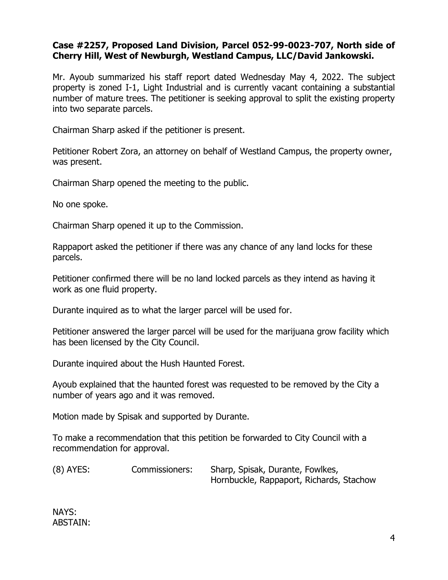# **Case #2257, Proposed Land Division, Parcel 052-99-0023-707, North side of Cherry Hill, West of Newburgh, Westland Campus, LLC/David Jankowski.**

Mr. Ayoub summarized his staff report dated Wednesday May 4, 2022. The subject property is zoned I-1, Light Industrial and is currently vacant containing a substantial number of mature trees. The petitioner is seeking approval to split the existing property into two separate parcels.

Chairman Sharp asked if the petitioner is present.

Petitioner Robert Zora, an attorney on behalf of Westland Campus, the property owner, was present.

Chairman Sharp opened the meeting to the public.

No one spoke.

Chairman Sharp opened it up to the Commission.

Rappaport asked the petitioner if there was any chance of any land locks for these parcels.

Petitioner confirmed there will be no land locked parcels as they intend as having it work as one fluid property.

Durante inquired as to what the larger parcel will be used for.

Petitioner answered the larger parcel will be used for the marijuana grow facility which has been licensed by the City Council.

Durante inquired about the Hush Haunted Forest.

Ayoub explained that the haunted forest was requested to be removed by the City a number of years ago and it was removed.

Motion made by Spisak and supported by Durante.

To make a recommendation that this petition be forwarded to City Council with a recommendation for approval.

(8) AYES: Commissioners: Sharp, Spisak, Durante, Fowlkes, Hornbuckle, Rappaport, Richards, Stachow

NAYS: ABSTAIN: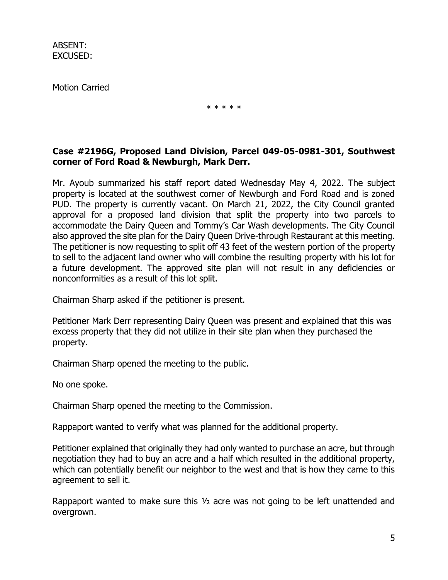Motion Carried

\* \* \* \* \*

# **Case #2196G, Proposed Land Division, Parcel 049-05-0981-301, Southwest corner of Ford Road & Newburgh, Mark Derr.**

Mr. Ayoub summarized his staff report dated Wednesday May 4, 2022. The subject property is located at the southwest corner of Newburgh and Ford Road and is zoned PUD. The property is currently vacant. On March 21, 2022, the City Council granted approval for a proposed land division that split the property into two parcels to accommodate the Dairy Queen and Tommy's Car Wash developments. The City Council also approved the site plan for the Dairy Queen Drive-through Restaurant at this meeting. The petitioner is now requesting to split off 43 feet of the western portion of the property to sell to the adjacent land owner who will combine the resulting property with his lot for a future development. The approved site plan will not result in any deficiencies or nonconformities as a result of this lot split.

Chairman Sharp asked if the petitioner is present.

Petitioner Mark Derr representing Dairy Queen was present and explained that this was excess property that they did not utilize in their site plan when they purchased the property.

Chairman Sharp opened the meeting to the public.

No one spoke.

Chairman Sharp opened the meeting to the Commission.

Rappaport wanted to verify what was planned for the additional property.

Petitioner explained that originally they had only wanted to purchase an acre, but through negotiation they had to buy an acre and a half which resulted in the additional property, which can potentially benefit our neighbor to the west and that is how they came to this agreement to sell it.

Rappaport wanted to make sure this  $\frac{1}{2}$  acre was not going to be left unattended and overgrown.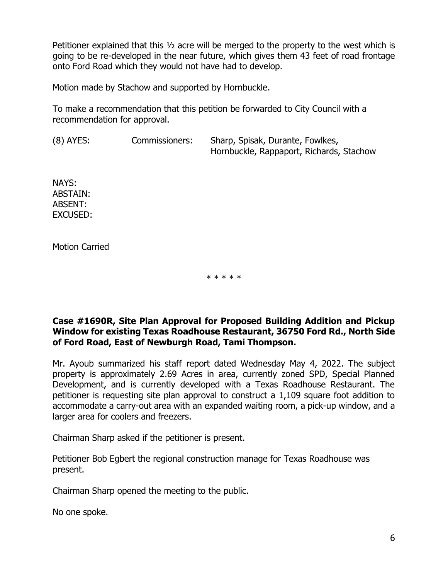Petitioner explained that this ½ acre will be merged to the property to the west which is going to be re-developed in the near future, which gives them 43 feet of road frontage onto Ford Road which they would not have had to develop.

Motion made by Stachow and supported by Hornbuckle.

To make a recommendation that this petition be forwarded to City Council with a recommendation for approval.

(8) AYES: Commissioners: Sharp, Spisak, Durante, Fowlkes, Hornbuckle, Rappaport, Richards, Stachow

NAYS: ABSTAIN: ABSENT: EXCUSED:

Motion Carried

\* \* \* \* \*

# **Case #1690R, Site Plan Approval for Proposed Building Addition and Pickup Window for existing Texas Roadhouse Restaurant, 36750 Ford Rd., North Side of Ford Road, East of Newburgh Road, Tami Thompson.**

Mr. Ayoub summarized his staff report dated Wednesday May 4, 2022. The subject property is approximately 2.69 Acres in area, currently zoned SPD, Special Planned Development, and is currently developed with a Texas Roadhouse Restaurant. The petitioner is requesting site plan approval to construct a 1,109 square foot addition to accommodate a carry-out area with an expanded waiting room, a pick-up window, and a larger area for coolers and freezers.

Chairman Sharp asked if the petitioner is present.

Petitioner Bob Egbert the regional construction manage for Texas Roadhouse was present.

Chairman Sharp opened the meeting to the public.

No one spoke.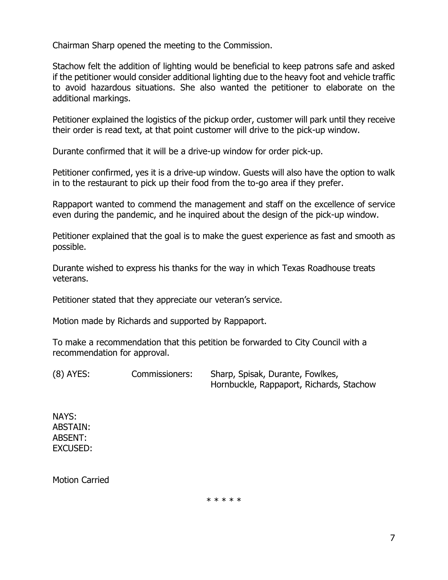Chairman Sharp opened the meeting to the Commission.

Stachow felt the addition of lighting would be beneficial to keep patrons safe and asked if the petitioner would consider additional lighting due to the heavy foot and vehicle traffic to avoid hazardous situations. She also wanted the petitioner to elaborate on the additional markings.

Petitioner explained the logistics of the pickup order, customer will park until they receive their order is read text, at that point customer will drive to the pick-up window.

Durante confirmed that it will be a drive-up window for order pick-up.

Petitioner confirmed, yes it is a drive-up window. Guests will also have the option to walk in to the restaurant to pick up their food from the to-go area if they prefer.

Rappaport wanted to commend the management and staff on the excellence of service even during the pandemic, and he inquired about the design of the pick-up window.

Petitioner explained that the goal is to make the guest experience as fast and smooth as possible.

Durante wished to express his thanks for the way in which Texas Roadhouse treats veterans.

Petitioner stated that they appreciate our veteran's service.

Motion made by Richards and supported by Rappaport.

To make a recommendation that this petition be forwarded to City Council with a recommendation for approval.

(8) AYES: Commissioners: Sharp, Spisak, Durante, Fowlkes, Hornbuckle, Rappaport, Richards, Stachow

NAYS: ABSTAIN: ABSENT: EXCUSED:

Motion Carried

\* \* \* \* \*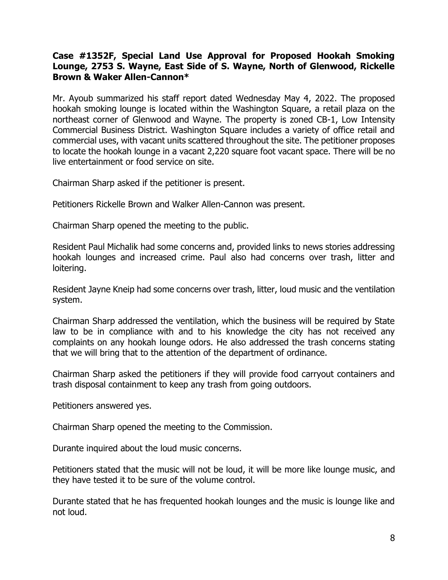# **Case #1352F, Special Land Use Approval for Proposed Hookah Smoking Lounge, 2753 S. Wayne, East Side of S. Wayne, North of Glenwood, Rickelle Brown & Waker Allen-Cannon\***

Mr. Ayoub summarized his staff report dated Wednesday May 4, 2022. The proposed hookah smoking lounge is located within the Washington Square, a retail plaza on the northeast corner of Glenwood and Wayne. The property is zoned CB-1, Low Intensity Commercial Business District. Washington Square includes a variety of office retail and commercial uses, with vacant units scattered throughout the site. The petitioner proposes to locate the hookah lounge in a vacant 2,220 square foot vacant space. There will be no live entertainment or food service on site.

Chairman Sharp asked if the petitioner is present.

Petitioners Rickelle Brown and Walker Allen-Cannon was present.

Chairman Sharp opened the meeting to the public.

Resident Paul Michalik had some concerns and, provided links to news stories addressing hookah lounges and increased crime. Paul also had concerns over trash, litter and loitering.

Resident Jayne Kneip had some concerns over trash, litter, loud music and the ventilation system.

Chairman Sharp addressed the ventilation, which the business will be required by State law to be in compliance with and to his knowledge the city has not received any complaints on any hookah lounge odors. He also addressed the trash concerns stating that we will bring that to the attention of the department of ordinance.

Chairman Sharp asked the petitioners if they will provide food carryout containers and trash disposal containment to keep any trash from going outdoors.

Petitioners answered yes.

Chairman Sharp opened the meeting to the Commission.

Durante inquired about the loud music concerns.

Petitioners stated that the music will not be loud, it will be more like lounge music, and they have tested it to be sure of the volume control.

Durante stated that he has frequented hookah lounges and the music is lounge like and not loud.